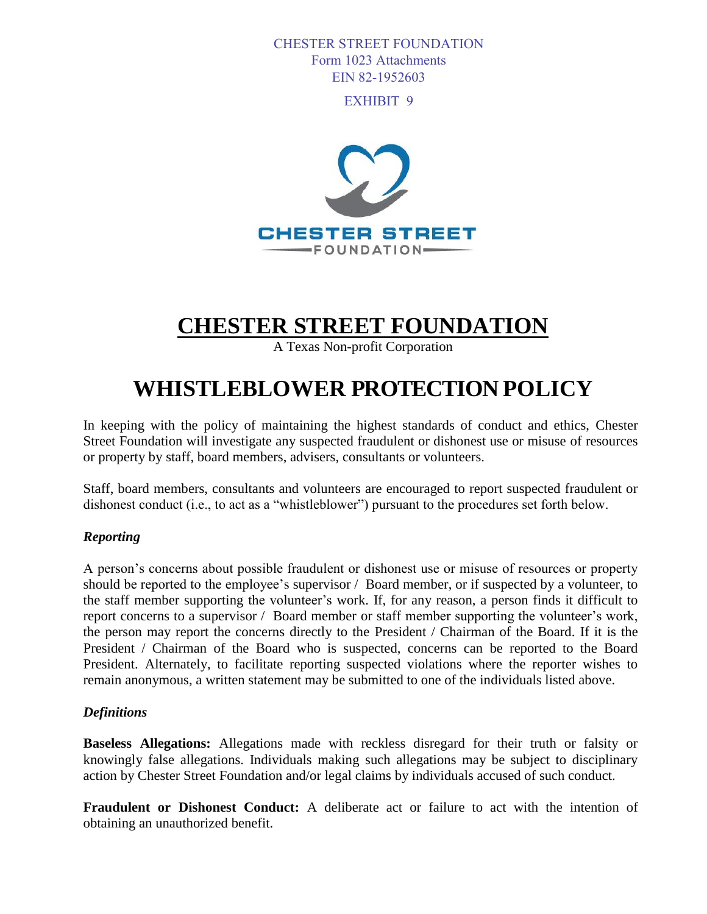#### CHESTER STREET FOUNDATION Form 1023 Attachments EIN 82-1952603

EXHIBIT 9



# **CHESTER STREET FOUNDATION**

A Texas Non-profit Corporation

## **WHISTLEBLOWER PROTECTION POLICY**

In keeping with the policy of maintaining the highest standards of conduct and ethics, Chester Street Foundation will investigate any suspected fraudulent or dishonest use or misuse of resources or property by staff, board members, advisers, consultants or volunteers.

Staff, board members, consultants and volunteers are encouraged to report suspected fraudulent or dishonest conduct (i.e., to act as a "whistleblower") pursuant to the procedures set forth below.

## *Reporting*

A person's concerns about possible fraudulent or dishonest use or misuse of resources or property should be reported to the employee's supervisor / Board member, or if suspected by a volunteer, to the staff member supporting the volunteer's work. If, for any reason, a person finds it difficult to report concerns to a supervisor / Board member or staff member supporting the volunteer's work, the person may report the concerns directly to the President / Chairman of the Board. If it is the President / Chairman of the Board who is suspected, concerns can be reported to the Board President. Alternately, to facilitate reporting suspected violations where the reporter wishes to remain anonymous, a written statement may be submitted to one of the individuals listed above.

#### *Definitions*

**Baseless Allegations:** Allegations made with reckless disregard for their truth or falsity or knowingly false allegations. Individuals making such allegations may be subject to disciplinary action by Chester Street Foundation and/or legal claims by individuals accused of such conduct.

**Fraudulent or Dishonest Conduct:** A deliberate act or failure to act with the intention of obtaining an unauthorized benefit.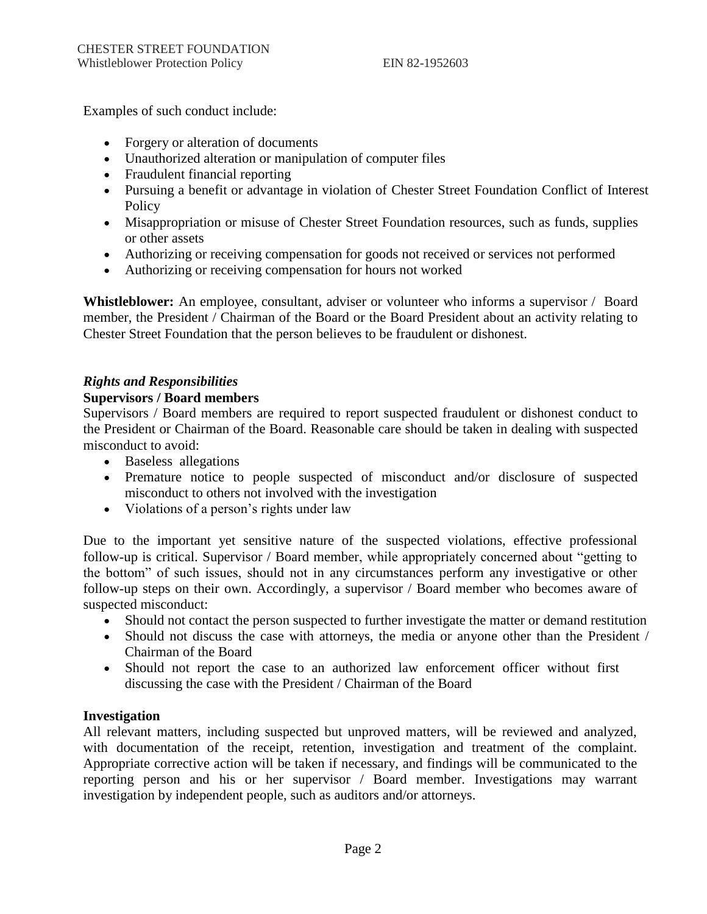Examples of such conduct include:

- Forgery or alteration of documents
- Unauthorized alteration or manipulation of computer files
- Fraudulent financial reporting
- Pursuing a benefit or advantage in violation of Chester Street Foundation Conflict of Interest **Policy**
- Misappropriation or misuse of Chester Street Foundation resources, such as funds, supplies or other assets
- Authorizing or receiving compensation for goods not received or services not performed
- Authorizing or receiving compensation for hours not worked

Whistleblower: An employee, consultant, adviser or volunteer who informs a supervisor / Board member, the President / Chairman of the Board or the Board President about an activity relating to Chester Street Foundation that the person believes to be fraudulent or dishonest.

## *Rights and Responsibilities*

## **Supervisors / Board members**

Supervisors / Board members are required to report suspected fraudulent or dishonest conduct to the President or Chairman of the Board. Reasonable care should be taken in dealing with suspected misconduct to avoid:

- Baseless allegations
- Premature notice to people suspected of misconduct and/or disclosure of suspected misconduct to others not involved with the investigation
- Violations of a person's rights under law

Due to the important yet sensitive nature of the suspected violations, effective professional follow-up is critical. Supervisor / Board member, while appropriately concerned about "getting to the bottom" of such issues, should not in any circumstances perform any investigative or other follow-up steps on their own. Accordingly, a supervisor / Board member who becomes aware of suspected misconduct:

- Should not contact the person suspected to further investigate the matter or demand restitution
- Should not discuss the case with attorneys, the media or anyone other than the President / Chairman of the Board
- Should not report the case to an authorized law enforcement officer without first discussing the case with the President / Chairman of the Board

## **Investigation**

All relevant matters, including suspected but unproved matters, will be reviewed and analyzed, with documentation of the receipt, retention, investigation and treatment of the complaint. Appropriate corrective action will be taken if necessary, and findings will be communicated to the reporting person and his or her supervisor / Board member. Investigations may warrant investigation by independent people, such as auditors and/or attorneys.